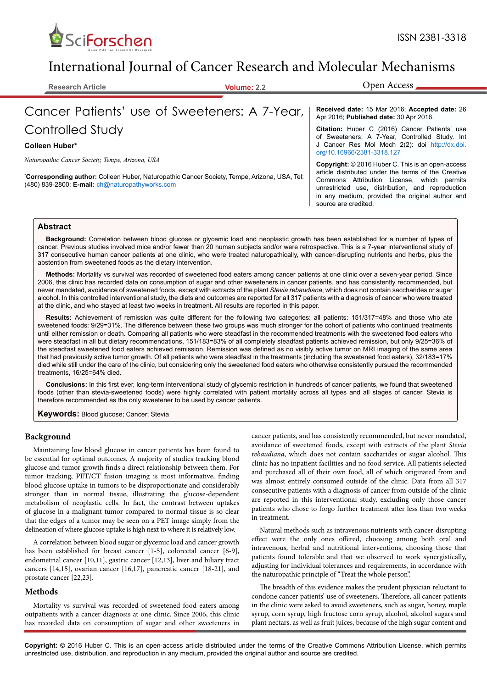

# International Journal of Cancer Research and Molecular Mechanisms

**Research Article Volume: 2.2**

Open Access

# Cancer Patients' use of Sweeteners: A 7-Year,

### Controlled Study

#### **Colleen Huber\***

*Naturopathic Cancer Society, Tempe, Arizona, USA*

**\* Corresponding author:** Colleen Huber, Naturopathic Cancer Society, Tempe, Arizona, USA, Tel: (480) 839-2800; **E-mail:** ch@naturopathyworks.com

#### **Received date:** 15 Mar 2016; **Accepted date:** 26 Apr 2016; **Published date:** 30 Apr 2016.

**Citation:** Huber C (2016) Cancer Patients' use of Sweeteners: A 7-Year, Controlled Study. Int J Cancer Res Mol Mech 2(2): doi [http://dx.doi.](http://dx.doi.org/10.16966/2381-3318.127) [org/10.16966/2381-3318.127](http://dx.doi.org/10.16966/2381-3318.127)

**Copyright:** © 2016 Huber C. This is an open-access article distributed under the terms of the Creative Commons Attribution License, which permits unrestricted use, distribution, and reproduction in any medium, provided the original author and source are credited.

#### **Abstract**

**Background:** Correlation between blood glucose or glycemic load and neoplastic growth has been established for a number of types of cancer. Previous studies involved mice and/or fewer than 20 human subjects and/or were retrospective. This is a 7-year interventional study of 317 consecutive human cancer patients at one clinic, who were treated naturopathically, with cancer-disrupting nutrients and herbs, plus the abstention from sweetened foods as the dietary intervention.

**Methods:** Mortality vs survival was recorded of sweetened food eaters among cancer patients at one clinic over a seven-year period. Since 2006, this clinic has recorded data on consumption of sugar and other sweeteners in cancer patients, and has consistently recommended, but never mandated, avoidance of sweetened foods, except with extracts of the plant *Stevia rebaudiana*, which does not contain saccharides or sugar alcohol. In this controlled interventional study, the diets and outcomes are reported for all 317 patients with a diagnosis of cancer who were treated at the clinic, and who stayed at least two weeks in treatment. All results are reported in this paper.

**Results:** Achievement of remission was quite different for the following two categories: all patients: 151/317=48% and those who ate sweetened foods: 9/29=31%. The difference between these two groups was much stronger for the cohort of patients who continued treatments until either remission or death. Comparing all patients who were steadfast in the recommended treatments with the sweetened food eaters who were steadfast in all but dietary recommendations, 151/183=83% of all completely steadfast patients achieved remission, but only 9/25=36% of the steadfast sweetened food eaters achieved remission. Remission was defined as no visibly active tumor on MRI imaging of the same area that had previously active tumor growth. Of all patients who were steadfast in the treatments (including the sweetened food eaters), 32/183=17% died while still under the care of the clinic, but considering only the sweetened food eaters who otherwise consistently pursued the recommended treatments, 16/25=64% died.

**Conclusions:** In this first ever, long-term interventional study of glycemic restriction in hundreds of cancer patients, we found that sweetened foods (other than stevia-sweetened foods) were highly correlated with patient mortality across all types and all stages of cancer. Stevia is therefore recommended as the only sweetener to be used by cancer patients.

**Keywords:** Blood glucose; Cancer; Stevia

#### **Background**

Maintaining low blood glucose in cancer patients has been found to be essential for optimal outcomes. A majority of studies tracking blood glucose and tumor growth finds a direct relationship between them. For tumor tracking, PET/CT fusion imaging is most informative, finding blood glucose uptake in tumors to be disproportionate and considerably stronger than in normal tissue, illustrating the glucose-dependent metabolism of neoplastic cells. In fact, the contrast between uptakes of glucose in a malignant tumor compared to normal tissue is so clear that the edges of a tumor may be seen on a PET image simply from the delineation of where glucose uptake is high next to where it is relatively low.

A correlation between blood sugar or glycemic load and cancer growth has been established for breast cancer [1-5], colorectal cancer [6-9], endometrial cancer [10,11], gastric cancer [12,13], liver and biliary tract cancers [14,15], ovarian cancer [16,17], pancreatic cancer [18-21], and prostate cancer [22,23].

#### **Methods**

Mortality vs survival was recorded of sweetened food eaters among outpatients with a cancer diagnosis at one clinic. Since 2006, this clinic has recorded data on consumption of sugar and other sweeteners in cancer patients, and has consistently recommended, but never mandated, avoidance of sweetened foods, except with extracts of the plant *Stevia rebaudiana*, which does not contain saccharides or sugar alcohol. This clinic has no inpatient facilities and no food service. All patients selected and purchased all of their own food, all of which originated from and was almost entirely consumed outside of the clinic. Data from all 317 consecutive patients with a diagnosis of cancer from outside of the clinic are reported in this interventional study, excluding only those cancer patients who chose to forgo further treatment after less than two weeks in treatment.

Natural methods such as intravenous nutrients with cancer-disrupting effect were the only ones offered, choosing among both oral and intravenous, herbal and nutritional interventions, choosing those that patients found tolerable and that we observed to work synergistically, adjusting for individual tolerances and requirements, in accordance with the naturopathic principle of "Treat the whole person".

The breadth of this evidence makes the prudent physician reluctant to condone cancer patients' use of sweeteners. Therefore, all cancer patients in the clinic were asked to avoid sweeteners, such as sugar, honey, maple syrup, corn syrup, high fructose corn syrup, alcohol, alcohol sugars and plant nectars, as well as fruit juices, because of the high sugar content and

**Copyright:** © 2016 Huber C. This is an open-access article distributed under the terms of the Creative Commons Attribution License, which permits unrestricted use, distribution, and reproduction in any medium, provided the original author and source are credited.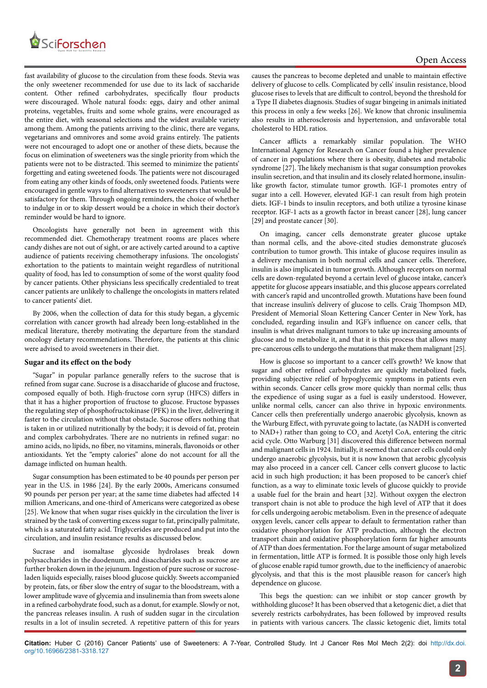

fast availability of glucose to the circulation from these foods. Stevia was the only sweetener recommended for use due to its lack of saccharide content. Other refined carbohydrates, specifically flour products were discouraged. Whole natural foods: eggs, dairy and other animal proteins, vegetables, fruits and some whole grains, were encouraged as the entire diet, with seasonal selections and the widest available variety among them. Among the patients arriving to the clinic, there are vegans, vegetarians and omnivores and some avoid grains entirely. The patients were not encouraged to adopt one or another of these diets, because the focus on elimination of sweeteners was the single priority from which the patients were not to be distracted. This seemed to minimize the patients' forgetting and eating sweetened foods. The patients were not discouraged from eating any other kinds of foods, only sweetened foods. Patients were encouraged in gentle ways to find alternatives to sweeteners that would be satisfactory for them. Through ongoing reminders, the choice of whether to indulge in or to skip dessert would be a choice in which their doctor's reminder would be hard to ignore.

Oncologists have generally not been in agreement with this recommended diet. Chemotherapy treatment rooms are places where candy dishes are not out of sight, or are actively carted around to a captive audience of patients receiving chemotherapy infusions. The oncologists' exhortation to the patients to maintain weight regardless of nutritional quality of food, has led to consumption of some of the worst quality food by cancer patients. Other physicians less specifically credentialed to treat cancer patients are unlikely to challenge the oncologists in matters related to cancer patients' diet.

By 2006, when the collection of data for this study began, a glycemic correlation with cancer growth had already been long-established in the medical literature, thereby motivating the departure from the standard oncology dietary recommendations. Therefore, the patients at this clinic were advised to avoid sweeteners in their diet.

#### **Sugar and its effect on the body**

"Sugar" in popular parlance generally refers to the sucrose that is refined from sugar cane. Sucrose is a disaccharide of glucose and fructose, composed equally of both. High-fructose corn syrup (HFCS) differs in that it has a higher proportion of fructose to glucose. Fructose bypasses the regulating step of phosphofructokinase (PFK) in the liver, delivering it faster to the circulation without that obstacle. Sucrose offers nothing that is taken in or utilized nutritionally by the body; it is devoid of fat, protein and complex carbohydrates. There are no nutrients in refined sugar: no amino acids, no lipids, no fiber, no vitamins, minerals, flavonoids or other antioxidants. Yet the "empty calories" alone do not account for all the damage inflicted on human health.

Sugar consumption has been estimated to be 40 pounds per person per year in the U.S. in 1986 [24]. By the early 2000s, Americans consumed 90 pounds per person per year; at the same time diabetes had affected 14 million Americans, and one-third of Americans were categorized as obese [25]. We know that when sugar rises quickly in the circulation the liver is strained by the task of converting excess sugar to fat, principally palmitate, which is a saturated fatty acid. Triglycerides are produced and put into the circulation, and insulin resistance results as discussed below.

Sucrase and isomaltase glycoside hydrolases break down polysaccharides in the duodenum, and disaccharides such as sucrose are further broken down in the jejunum. Ingestion of pure sucrose or sucroseladen liquids especially, raises blood glucose quickly. Sweets accompanied by protein, fats, or fiber slow the entry of sugar to the bloodstream, with a lower amplitude wave of glycemia and insulinemia than from sweets alone in a refined carbohydrate food, such as a donut, for example. Slowly or not, the pancreas releases insulin. A rush of sudden sugar in the circulation results in a lot of insulin secreted. A repetitive pattern of this for years causes the pancreas to become depleted and unable to maintain effective delivery of glucose to cells. Complicated by cells' insulin resistance, blood glucose rises to levels that are difficult to control, beyond the threshold for a Type II diabetes diagnosis. Studies of sugar bingeing in animals initiated this process in only a few weeks [26]. We know that chronic insulinemia also results in atherosclerosis and hypertension, and unfavorable total cholesterol to HDL ratios.

Cancer afflicts a remarkably similar population. The WHO International Agency for Research on Cancer found a higher prevalence of cancer in populations where there is obesity, diabetes and metabolic syndrome [27]. The likely mechanism is that sugar consumption provokes insulin secretion, and that insulin and its closely related hormone, insulinlike growth factor, stimulate tumor growth. IGF-1 promotes entry of sugar into a cell. However, elevated IGF-1 can result from high protein diets. IGF-1 binds to insulin receptors, and both utilize a tyrosine kinase receptor. IGF-1 acts as a growth factor in breast cancer [28], lung cancer [29] and prostate cancer [30].

On imaging, cancer cells demonstrate greater glucose uptake than normal cells, and the above-cited studies demonstrate glucose's contribution to tumor growth. This intake of glucose requires insulin as a delivery mechanism in both normal cells and cancer cells. Therefore, insulin is also implicated in tumor growth. Although receptors on normal cells are down-regulated beyond a certain level of glucose intake, cancer's appetite for glucose appears insatiable, and this glucose appears correlated with cancer's rapid and uncontrolled growth. Mutations have been found that increase insulin's delivery of glucose to cells. Craig Thompson MD, President of Memorial Sloan Kettering Cancer Center in New York, has concluded, regarding insulin and IGF's influence on cancer cells, that insulin is what drives malignant tumors to take up increasing amounts of glucose and to metabolize it, and that it is this process that allows many pre-cancerous cells to undergo the mutations that make them malignant [25].

How is glucose so important to a cancer cell's growth? We know that sugar and other refined carbohydrates are quickly metabolized fuels, providing subjective relief of hypoglycemic symptoms in patients even within seconds. Cancer cells grow more quickly than normal cells; thus the expedience of using sugar as a fuel is easily understood. However, unlike normal cells, cancer can also thrive in hypoxic environments. Cancer cells then preferentially undergo anaerobic glycolysis, known as the Warburg Effect, with pyruvate going to lactate, (as NADH is converted to NAD+) rather than going to  $CO_2$  and Acetyl CoA, entering the citric acid cycle. Otto Warburg [31] discovered this difference between normal and malignant cells in 1924. Initially, it seemed that cancer cells could only undergo anaerobic glycolysis, but it is now known that aerobic glycolysis may also proceed in a cancer cell. Cancer cells convert glucose to lactic acid in such high production; it has been proposed to be cancer's chief function, as a way to eliminate toxic levels of glucose quickly to provide a usable fuel for the brain and heart [32]. Without oxygen the electron transport chain is not able to produce the high level of ATP that it does for cells undergoing aerobic metabolism. Even in the presence of adequate oxygen levels, cancer cells appear to default to fermentation rather than oxidative phosphorylation for ATP production, although the electron transport chain and oxidative phosphorylation form far higher amounts of ATP than does fermentation. For the large amount of sugar metabolized in fermentation, little ATP is formed. It is possible those only high levels of glucose enable rapid tumor growth, due to the inefficiency of anaerobic glycolysis, and that this is the most plausible reason for cancer's high dependence on glucose.

This begs the question: can we inhibit or stop cancer growth by withholding glucose? It has been observed that a ketogenic diet, a diet that severely restricts carbohydrates, has been followed by improved results in patients with various cancers. The classic ketogenic diet, limits total

**Citation:** Huber C (2016) Cancer Patients' use of Sweeteners: A 7-Year, Controlled Study. Int J Cancer Res Mol Mech 2(2): doi [http://dx.doi.](http://dx.doi.org/10.16966/2381-3318.127) [org/10.16966/2381-3318.127](http://dx.doi.org/10.16966/2381-3318.127)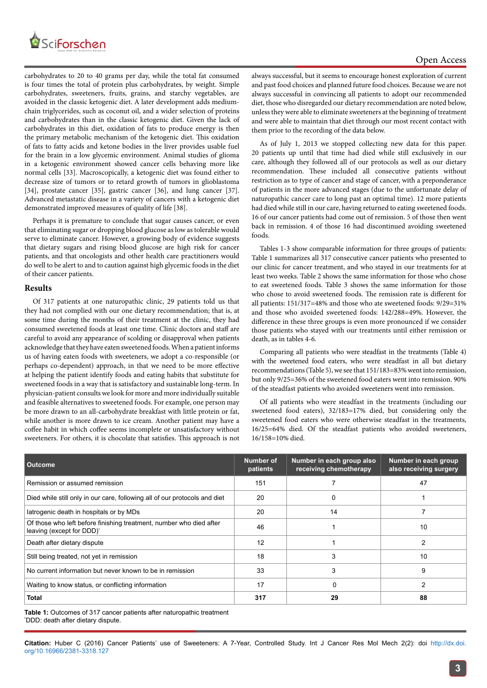

carbohydrates to 20 to 40 grams per day, while the total fat consumed is four times the total of protein plus carbohydrates, by weight. Simple carbohydrates, sweeteners, fruits, grains, and starchy vegetables, are avoided in the classic ketogenic diet. A later development adds mediumchain triglycerides, such as coconut oil, and a wider selection of proteins and carbohydrates than in the classic ketogenic diet. Given the lack of carbohydrates in this diet, oxidation of fats to produce energy is then the primary metabolic mechanism of the ketogenic diet. This oxidation of fats to fatty acids and ketone bodies in the liver provides usable fuel for the brain in a low glycemic environment. Animal studies of glioma in a ketogenic environment showed cancer cells behaving more like normal cells [33]. Macroscopically, a ketogenic diet was found either to decrease size of tumors or to retard growth of tumors in glioblastoma [34], prostate cancer [35], gastric cancer [36], and lung cancer [37]. Advanced metastatic disease in a variety of cancers with a ketogenic diet demonstrated improved measures of quality of life [38].

Perhaps it is premature to conclude that sugar causes cancer, or even that eliminating sugar or dropping blood glucose as low as tolerable would serve to eliminate cancer. However, a growing body of evidence suggests that dietary sugars and rising blood glucose are high risk for cancer patients, and that oncologists and other health care practitioners would do well to be alert to and to caution against high glycemic foods in the diet of their cancer patients.

#### **Results**

Of 317 patients at one naturopathic clinic, 29 patients told us that they had not complied with our one dietary recommendation; that is, at some time during the months of their treatment at the clinic, they had consumed sweetened foods at least one time. Clinic doctors and staff are careful to avoid any appearance of scolding or disapproval when patients acknowledge that they have eaten sweetened foods. When a patient informs us of having eaten foods with sweeteners, we adopt a co-responsible (or perhaps co-dependent) approach, in that we need to be more effective at helping the patient identify foods and eating habits that substitute for sweetened foods in a way that is satisfactory and sustainable long-term. In physician-patient consults we look for more and more individually suitable and feasible alternatives to sweetened foods. For example, one person may be more drawn to an all-carbohydrate breakfast with little protein or fat, while another is more drawn to ice cream. Another patient may have a coffee habit in which coffee seems incomplete or unsatisfactory without sweeteners. For others, it is chocolate that satisfies. This approach is not always successful, but it seems to encourage honest exploration of current and past food choices and planned future food choices. Because we are not always successful in convincing all patients to adopt our recommended diet, those who disregarded our dietary recommendation are noted below, unless they were able to eliminate sweeteners at the beginning of treatment and were able to maintain that diet through our most recent contact with them prior to the recording of the data below.

As of July 1, 2013 we stopped collecting new data for this paper. 20 patients up until that time had died while still exclusively in our care, although they followed all of our protocols as well as our dietary recommendation. These included all consecutive patients without restriction as to type of cancer and stage of cancer, with a preponderance of patients in the more advanced stages (due to the unfortunate delay of naturopathic cancer care to long past an optimal time). 12 more patients had died while still in our care, having returned to eating sweetened foods. 16 of our cancer patients had come out of remission. 5 of those then went back in remission. 4 of those 16 had discontinued avoiding sweetened foods.

Tables 1-3 show comparable information for three groups of patients: Table 1 summarizes all 317 consecutive cancer patients who presented to our clinic for cancer treatment, and who stayed in our treatments for at least two weeks. Table 2 shows the same information for those who chose to eat sweetened foods. Table 3 shows the same information for those who chose to avoid sweetened foods. The remission rate is different for all patients: 151/317=48% and those who ate sweetened foods: 9/29=31% and those who avoided sweetened foods: 142/288=49%. However, the difference in these three groups is even more pronounced if we consider those patients who stayed with our treatments until either remission or death, as in tables 4-6.

Comparing all patients who were steadfast in the treatments (Table 4) with the sweetened food eaters, who were steadfast in all but dietary recommendations (Table 5), we see that 151/183=83% went into remission, but only 9/25=36% of the sweetened food eaters went into remission. 90% of the steadfast patients who avoided sweeteners went into remission.

Of all patients who were steadfast in the treatments (including our sweetened food eaters), 32/183=17% died, but considering only the sweetened food eaters who were otherwise steadfast in the treatments, 16/25=64% died. Of the steadfast patients who avoided sweeteners, 16/158=10% died.

| <b>Outcome</b>                                                                                               | Number of<br>patients | Number in each group also<br>receiving chemotherapy | Number in each group<br>also receiving surgery |
|--------------------------------------------------------------------------------------------------------------|-----------------------|-----------------------------------------------------|------------------------------------------------|
| Remission or assumed remission                                                                               | 151                   |                                                     | 47                                             |
| Died while still only in our care, following all of our protocols and diet                                   | 20                    | 0                                                   |                                                |
| latrogenic death in hospitals or by MDs                                                                      | 20                    | 14                                                  |                                                |
| Of those who left before finishing treatment, number who died after<br>leaving (except for DDD) <sup>*</sup> | 46                    |                                                     | 10                                             |
| Death after dietary dispute                                                                                  | 12                    |                                                     | 2                                              |
| Still being treated, not yet in remission                                                                    | 18                    | 3                                                   | 10                                             |
| No current information but never known to be in remission                                                    | 33                    | 3                                                   | 9                                              |
| Waiting to know status, or conflicting information                                                           | 17                    | 0                                                   | 2                                              |
| <b>Total</b>                                                                                                 | 317                   | 29                                                  | 88                                             |

**Table 1:** Outcomes of 317 cancer patients after naturopathic treatment \* DDD: death after dietary dispute.

**Citation:** Huber C (2016) Cancer Patients' use of Sweeteners: A 7-Year, Controlled Study. Int J Cancer Res Mol Mech 2(2): doi [http://dx.doi.](http://dx.doi.org/10.16966/2381-3318.127) [org/10.16966/2381-3318.127](http://dx.doi.org/10.16966/2381-3318.127)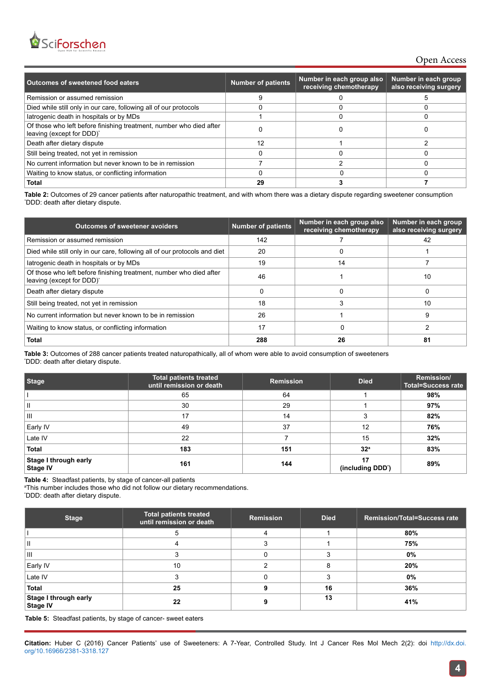

### Open Access

| Outcomes of sweetened food eaters                                                                | <b>Number of patients</b> | Number in each group also<br>receiving chemotherapy | Number in each group<br>also receiving surgery |
|--------------------------------------------------------------------------------------------------|---------------------------|-----------------------------------------------------|------------------------------------------------|
| Remission or assumed remission                                                                   |                           |                                                     |                                                |
| Died while still only in our care, following all of our protocols                                |                           |                                                     |                                                |
| latrogenic death in hospitals or by MDs                                                          |                           |                                                     |                                                |
| Of those who left before finishing treatment, number who died after<br>leaving (except for DDD)* |                           |                                                     |                                                |
| Death after dietary dispute                                                                      | 12                        |                                                     |                                                |
| Still being treated, not yet in remission                                                        |                           |                                                     |                                                |
| No current information but never known to be in remission                                        |                           |                                                     |                                                |
| Waiting to know status, or conflicting information                                               |                           |                                                     |                                                |
| Total                                                                                            | 29                        |                                                     |                                                |

**Table 2:** Outcomes of 29 cancer patients after naturopathic treatment, and with whom there was a dietary dispute regarding sweetener consumption \* DDD: death after dietary dispute.

| <b>Outcomes of sweetener avoiders</b>                                                            | <b>Number of patients</b> | Number in each group also<br>receiving chemotherapy | Number in each group<br>also receiving surgery |
|--------------------------------------------------------------------------------------------------|---------------------------|-----------------------------------------------------|------------------------------------------------|
| Remission or assumed remission                                                                   | 142                       |                                                     | 42                                             |
| Died while still only in our care, following all of our protocols and diet                       | 20                        |                                                     |                                                |
| latrogenic death in hospitals or by MDs                                                          | 19                        | 14                                                  |                                                |
| Of those who left before finishing treatment, number who died after<br>leaving (except for DDD)* | 46                        |                                                     | 10                                             |
| Death after dietary dispute                                                                      |                           |                                                     |                                                |
| Still being treated, not yet in remission                                                        | 18                        |                                                     | 10                                             |
| No current information but never known to be in remission                                        | 26                        |                                                     | 9                                              |
| Waiting to know status, or conflicting information                                               | 17                        |                                                     |                                                |
| <b>Total</b>                                                                                     | 288                       | 26                                                  | 81                                             |

**Table 3:** Outcomes of 288 cancer patients treated naturopathically, all of whom were able to avoid consumption of sweeteners \* DDD: death after dietary dispute.

| <b>Stage</b>                             | <b>Total patients treated</b><br>until remission or death | <b>Remission</b> | <b>Died</b>            | Remission/<br><b>Total=Success rate</b> |
|------------------------------------------|-----------------------------------------------------------|------------------|------------------------|-----------------------------------------|
|                                          | 65                                                        | 64               |                        | 98%                                     |
| Ш                                        | 30                                                        | 29               |                        | 97%                                     |
| Ш                                        | 17                                                        | 14               | 3                      | 82%                                     |
| Early IV                                 | 49                                                        | 37               | 12                     | 76%                                     |
| Late IV                                  | 22                                                        |                  | 15                     | 32%                                     |
| Total                                    | 183                                                       | 151              | 32 <sup>a</sup>        | 83%                                     |
| Stage I through early<br><b>Stage IV</b> | 161                                                       | 144              | 17<br>(including DDD') | 89%                                     |

**Table 4:** Steadfast patients, by stage of cancer-all patients

a This number includes those who did not follow our dietary recommendations.

\* DDD: death after dietary dispute.

| <b>Stage</b>                                    | <b>Total patients treated</b><br>until remission or death | Remission | <b>Died</b> | <b>Remission/Total=Success rate</b> |
|-------------------------------------------------|-----------------------------------------------------------|-----------|-------------|-------------------------------------|
|                                                 |                                                           |           |             | 80%                                 |
| $\mathbf{I}$                                    |                                                           |           |             | 75%                                 |
| 'Ш                                              |                                                           |           |             | 0%                                  |
| Early IV                                        | 10                                                        |           |             | 20%                                 |
| Late IV                                         |                                                           |           |             | 0%                                  |
| Total                                           | 25                                                        |           | 16          | 36%                                 |
| <b>Stage I through early</b><br><b>Stage IV</b> | 22                                                        |           | 13          | 41%                                 |

**Table 5:** Steadfast patients, by stage of cancer- sweet eaters

**Citation:** Huber C (2016) Cancer Patients' use of Sweeteners: A 7-Year, Controlled Study. Int J Cancer Res Mol Mech 2(2): doi [http://dx.doi.](http://dx.doi.org/10.16966/2381-3318.127) [org/10.16966/2381-3318.127](http://dx.doi.org/10.16966/2381-3318.127)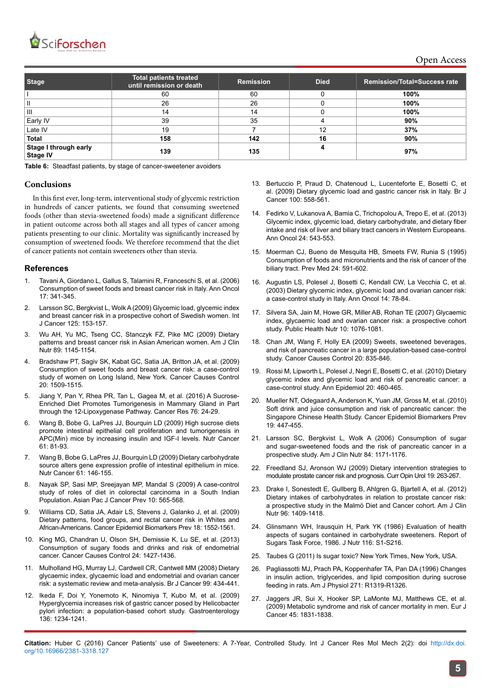

Open Access

| <b>Stage</b>                      | <b>Total patients treated</b><br>until remission or death | <b>Remission</b> | <b>Died</b> | <b>Remission/Total=Success rate</b> |
|-----------------------------------|-----------------------------------------------------------|------------------|-------------|-------------------------------------|
|                                   | 60                                                        | 60               |             | 100%                                |
| Ш                                 | 26                                                        | 26               |             | 100%                                |
| $\mathbf{III}$                    | 14                                                        | 14               |             | 100%                                |
| Early IV                          | 39                                                        | 35               |             | 90%                                 |
| Late IV                           | 19                                                        |                  | 12          | 37%                                 |
| <b>Total</b>                      | 158                                                       | 142              | 16          | 90%                                 |
| Stage I through early<br>Stage IV | 139                                                       | 135              |             | 97%                                 |

**Table 6:** Steadfast patients, by stage of cancer-sweetener avoiders

#### **Conclusions**

In this first ever, long-term, interventional study of glycemic restriction in hundreds of cancer patients, we found that consuming sweetened foods (other than stevia-sweetened foods) made a significant difference in patient outcome across both all stages and all types of cancer among patients presenting to our clinic. Mortality was significantly increased by consumption of sweetened foods. We therefore recommend that the diet of cancer patients not contain sweeteners other than stevia.

#### **References**

- 1. [Tavani A, Giordano L, Gallus S, Talamini R, Franceschi S, et al. \(2006\)](http://www.ncbi.nlm.nih.gov/pubmed/16249211)  [Consumption of sweet foods and breast cancer risk in Italy. Ann Oncol](http://www.ncbi.nlm.nih.gov/pubmed/16249211)  [17: 341-345.](http://www.ncbi.nlm.nih.gov/pubmed/16249211)
- 2. [Larsson SC, Bergkvist L, Wolk A \(2009\) Glycemic load, glycemic index](http://www.ncbi.nlm.nih.gov/pubmed/19319984)  [and breast cancer risk in a prospective cohort of Swedish women. Int](http://www.ncbi.nlm.nih.gov/pubmed/19319984)  [J Cancer 125: 153-157.](http://www.ncbi.nlm.nih.gov/pubmed/19319984)
- 3. [Wu AH, Yu MC, Tseng CC, Stanczyk FZ, Pike MC \(2009\) Dietary](http://www.ncbi.nlm.nih.gov/pubmed/19211822)  [patterns and breast cancer risk in Asian American women. Am J Clin](http://www.ncbi.nlm.nih.gov/pubmed/19211822)  [Nutr 89: 1145-1154.](http://www.ncbi.nlm.nih.gov/pubmed/19211822)
- 4. [Bradshaw PT, Sagiv SK, Kabat GC, Satia JA, Britton JA, et al. \(2009\)](http://www.ncbi.nlm.nih.gov/pubmed/19387852)  [Consumption of sweet foods and breast cancer risk: a case-control](http://www.ncbi.nlm.nih.gov/pubmed/19387852)  [study of women on Long Island, New York. Cancer Causes Control](http://www.ncbi.nlm.nih.gov/pubmed/19387852)  [20: 1509-1515.](http://www.ncbi.nlm.nih.gov/pubmed/19387852)
- 5. [Jiang Y, Pan Y, Rhea PR, Tan L, Gagea M, et al. \(2016\) A Sucrose-](http://www.ncbi.nlm.nih.gov/pubmed/26729790)[Enriched Diet Promotes Tumorigenesis in Mammary Gland in Part](http://www.ncbi.nlm.nih.gov/pubmed/26729790)  [through the 12-Lipoxygenase Pathway. Cancer Res 76: 24-29.](http://www.ncbi.nlm.nih.gov/pubmed/26729790)
- 6. [Wang B, Bobe G, LaPres JJ, Bourquin LD \(2009\) High sucrose diets](http://www.ncbi.nlm.nih.gov/pubmed/19116878)  [promote intestinal epithelial cell proliferation and tumorigenesis in](http://www.ncbi.nlm.nih.gov/pubmed/19116878)  [APC\(Min\) mice by increasing insulin and IGF-I levels. Nutr Cancer](http://www.ncbi.nlm.nih.gov/pubmed/19116878)  [61: 81-93.](http://www.ncbi.nlm.nih.gov/pubmed/19116878)
- 7. [Wang B, Bobe G, LaPres JJ, Bourquin LD \(2009\) Dietary carbohydrate](http://www.ncbi.nlm.nih.gov/pubmed/19116885)  [source alters gene expression profile of intestinal epithelium in mice.](http://www.ncbi.nlm.nih.gov/pubmed/19116885)  [Nutr Cancer 61: 146-155.](http://www.ncbi.nlm.nih.gov/pubmed/19116885)
- 8. [Nayak SP, Sasi MP, Sreejayan MP, Mandal S \(2009\) A case-control](http://www.ncbi.nlm.nih.gov/pubmed/19827870)  [study of roles of diet in colorectal carcinoma in a South Indian](http://www.ncbi.nlm.nih.gov/pubmed/19827870)  [Population. Asian Pac J Cancer Prev 10: 565-568.](http://www.ncbi.nlm.nih.gov/pubmed/19827870)
- 9. [Williams CD, Satia JA, Adair LS, Stevens J, Galanko J, et al. \(2009\)](http://www.ncbi.nlm.nih.gov/pubmed/19423533)  [Dietary patterns, food groups, and rectal cancer risk in Whites and](http://www.ncbi.nlm.nih.gov/pubmed/19423533)  [African-Americans. Cancer Epidemiol Biomarkers Prev 18: 1552-1561.](http://www.ncbi.nlm.nih.gov/pubmed/19423533)
- 10. [King MG, Chandran U, Olson SH, Demissie K, Lu SE, et al. \(2013\)](http://www.ncbi.nlm.nih.gov/pubmed/23657460)  [Consumption of sugary foods and drinks and risk of endometrial](http://www.ncbi.nlm.nih.gov/pubmed/23657460)  [cancer. Cancer Causes Control 24: 1427-1436.](http://www.ncbi.nlm.nih.gov/pubmed/23657460)
- 11. [Mulholland HG, Murray LJ, Cardwell CR, Cantwell MM \(2008\) Dietary](http://www.ncbi.nlm.nih.gov/pubmed/?term=Dietary+glycaemic+index%2C+glycaemic+load+and+endometrial+and+ovarian+cancer)  [glycaemic index, glycaemic load and endometrial and ovarian cancer](http://www.ncbi.nlm.nih.gov/pubmed/?term=Dietary+glycaemic+index%2C+glycaemic+load+and+endometrial+and+ovarian+cancer)  [risk: a systematic review and meta-analysis. Br J Cancer 99: 434-441.](http://www.ncbi.nlm.nih.gov/pubmed/?term=Dietary+glycaemic+index%2C+glycaemic+load+and+endometrial+and+ovarian+cancer)
- 12. [Ikeda F, Doi Y, Yonemoto K, Ninomiya T, Kubo M, et al. \(2009\)](http://www.ncbi.nlm.nih.gov/pubmed/19236964)  [Hyperglycemia increases risk of gastric cancer posed by Helicobacter](http://www.ncbi.nlm.nih.gov/pubmed/19236964)  [pylori infection: a population-based cohort study. Gastroenterology](http://www.ncbi.nlm.nih.gov/pubmed/19236964)  [136: 1234-1241.](http://www.ncbi.nlm.nih.gov/pubmed/19236964)
- 13. [Bertuccio P, Praud D, Chatenoud L, Lucenteforte E, Bosetti C, et](http://www.ncbi.nlm.nih.gov/pubmed/19190635) [al. \(2009\) Dietary glycemic load and gastric cancer risk in Italy. Br J](http://www.ncbi.nlm.nih.gov/pubmed/19190635) [Cancer 100: 558-561.](http://www.ncbi.nlm.nih.gov/pubmed/19190635)
- 14. [Fedirko V, Lukanova A, Bamia C, Trichopolou A, Trepo E, et al. \(2013\)](http://www.ncbi.nlm.nih.gov/pubmed/23123507) [Glycemic index, glycemic load, dietary carbohydrate, and dietary fiber](http://www.ncbi.nlm.nih.gov/pubmed/23123507) [intake and risk of liver and biliary tract cancers in Western Europeans.](http://www.ncbi.nlm.nih.gov/pubmed/23123507) [Ann Oncol 24: 543-553.](http://www.ncbi.nlm.nih.gov/pubmed/23123507)
- 15. [Moerman CJ, Bueno de Mesquita HB, Smeets FW, Runia S \(1995\)](http://www.ncbi.nlm.nih.gov/pubmed/8610083) [Consumption of foods and micronutrients and the risk of cancer of the](http://www.ncbi.nlm.nih.gov/pubmed/8610083) [biliary tract. Prev Med 24: 591-602.](http://www.ncbi.nlm.nih.gov/pubmed/8610083)
- 16. [Augustin LS, Polesel J, Bosetti C, Kendall CW, La Vecchia C, et al.](http://www.ncbi.nlm.nih.gov/pubmed/12488297) [\(2003\) Dietary glycemic index, glycemic load and ovarian cancer risk:](http://www.ncbi.nlm.nih.gov/pubmed/12488297) [a case-control study in Italy. Ann Oncol 14: 78-84.](http://www.ncbi.nlm.nih.gov/pubmed/12488297)
- 17. [Silvera SA, Jain M, Howe GR, Miller AB, Rohan TE \(2007\) Glycaemic](http://www.ncbi.nlm.nih.gov/pubmed/17381931) [index, glycaemic load and ovarian cancer risk: a prospective cohort](http://www.ncbi.nlm.nih.gov/pubmed/17381931) [study. Public Health Nutr 10: 1076-1081.](http://www.ncbi.nlm.nih.gov/pubmed/17381931)
- 18. [Chan JM, Wang F, Holly EA \(2009\) Sweets, sweetened beverages,](http://www.ncbi.nlm.nih.gov/pubmed/19277880) [and risk of pancreatic cancer in a large population-based case-control](http://www.ncbi.nlm.nih.gov/pubmed/19277880) [study. Cancer Causes Control 20: 835-846.](http://www.ncbi.nlm.nih.gov/pubmed/19277880)
- 19. [Rossi M, Lipworth L, Polesel J, Negri E, Bosetti C, et al. \(2010\) Dietary](http://www.ncbi.nlm.nih.gov/pubmed/20470973) [glycemic index and glycemic load and risk of pancreatic cancer: a](http://www.ncbi.nlm.nih.gov/pubmed/20470973) [case-control study. Ann Epidemiol 20: 460-465.](http://www.ncbi.nlm.nih.gov/pubmed/20470973)
- 20. [Mueller NT, Odegaard A, Anderson K, Yuan JM, Gross M, et al. \(2010\)](http://www.ncbi.nlm.nih.gov/pubmed/20142243) [Soft drink and juice consumption and risk of pancreatic cancer: the](http://www.ncbi.nlm.nih.gov/pubmed/20142243) [Singapore Chinese Health Study. Cancer Epidemiol Biomarkers Prev](http://www.ncbi.nlm.nih.gov/pubmed/20142243) [19: 447-455.](http://www.ncbi.nlm.nih.gov/pubmed/20142243)
- 21. [Larsson SC, Bergkvist L, Wolk A \(2006\) Consumption of sugar](http://www.ncbi.nlm.nih.gov/pubmed/17093171) [and sugar-sweetened foods and the risk of pancreatic cancer in a](http://www.ncbi.nlm.nih.gov/pubmed/17093171) [prospective study. Am J Clin Nutr 84: 1171-1176.](http://www.ncbi.nlm.nih.gov/pubmed/17093171)
- 22. [Freedland SJ, Aronson WJ \(2009\) Dietary intervention strategies to](http://www.ncbi.nlm.nih.gov/pubmed/19300265) [modulate prostate cancer risk and prognosis. Curr Opin Urol 19: 263-267.](http://www.ncbi.nlm.nih.gov/pubmed/19300265)
- 23. [Drake I, Sonestedt E, Gullberg B, Ahlgren G, Bjartell A, et al. \(2012\)](http://www.ncbi.nlm.nih.gov/pubmed/23134882) [Dietary intakes of carbohydrates in relation to prostate cancer risk:](http://www.ncbi.nlm.nih.gov/pubmed/23134882) [a prospective study in the Malmö Diet and Cancer cohort. Am J Clin](http://www.ncbi.nlm.nih.gov/pubmed/23134882) [Nutr 96: 1409-1418.](http://www.ncbi.nlm.nih.gov/pubmed/23134882)
- 24. [Glinsmann WH, Irausquin H, Park YK \(1986\) Evaluation of health](http://www.ncbi.nlm.nih.gov/pubmed/3543257) [aspects of sugars contained in carbohydrate sweeteners. Report of](http://www.ncbi.nlm.nih.gov/pubmed/3543257) [Sugars Task Force, 1986. J Nutr 116: S1-S216.](http://www.ncbi.nlm.nih.gov/pubmed/3543257)
- 25. [Taubes G \(2011\) Is sugar toxic? New York Times, New York, USA.](http://www.nytimes.com/2011/04/17/magazine/mag-17Sugar-t.html?_r=0)
- 26. [Pagliassotti MJ, Prach PA, Koppenhafer TA, Pan DA \(1996\) Changes](http://www.ncbi.nlm.nih.gov/pubmed/8945970) [in insulin action, triglycerides, and lipid composition during sucrose](http://www.ncbi.nlm.nih.gov/pubmed/8945970) [feeding in rats. Am J Physiol 271: R1319-R1326.](http://www.ncbi.nlm.nih.gov/pubmed/8945970)
- 27. [Jaggers JR, Sui X, Hooker SP, LaMonte MJ, Matthews CE, et al.](http://www.ncbi.nlm.nih.gov/pubmed/19250819) [\(2009\) Metabolic syndrome and risk of cancer mortality in men. Eur J](http://www.ncbi.nlm.nih.gov/pubmed/19250819) [Cancer 45: 1831-1838.](http://www.ncbi.nlm.nih.gov/pubmed/19250819)